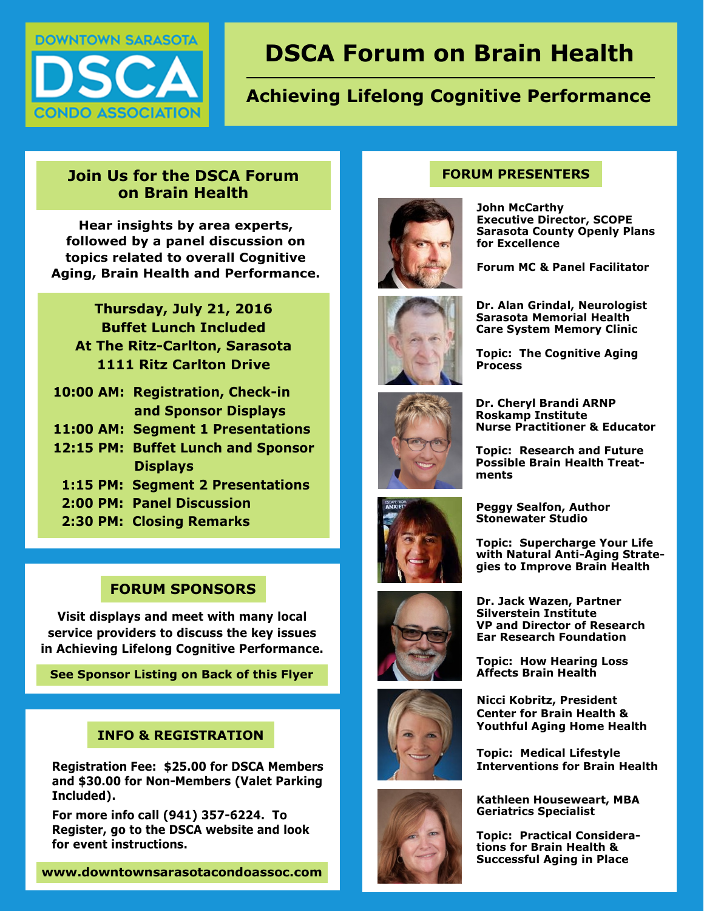

# **DSCA Forum on Brain Health**

## **Achieving Lifelong Cognitive Performance**

#### **Join Us for the DSCA Forum on Brain Health**

**Hear insights by area experts, followed by a panel discussion on topics related to overall Cognitive Aging, Brain Health and Performance.**

**Thursday, July 21, 2016 Buffet Lunch Included At The Ritz-Carlton, Sarasota 1111 Ritz Carlton Drive**

- **10:00 AM: Registration, Check-in and Sponsor Displays**
- **11:00 AM: Segment 1 Presentations**
- **12:15 PM: Buffet Lunch and Sponsor Displays** 
	- **1:15 PM: Segment 2 Presentations**
	- **2:00 PM: Panel Discussion**
	- **2:30 PM: Closing Remarks**

#### **FORUM SPONSORS**

**Visit displays and meet with many local service providers to discuss the key issues in Achieving Lifelong Cognitive Performance.**

**See Sponsor Listing on Back of this Flyer**

#### **INFO & REGISTRATION**

 **Registration Fee: \$25.00 for DSCA Members and \$30.00 for Non-Members (Valet Parking Included).** 

 **For more info call (941) 357-6224. To Register, go to the DSCA website and look for event instructions.**

#### **www.downtownsarasotacondoassoc.com**

### **FORUM PRESENTERS**



**John McCarthy Executive Director, SCOPE Sarasota County Openly Plans for Excellence** 

**Forum MC & Panel Facilitator**



**Topic: The Cognitive Aging Process** 



**Dr. Cheryl Brandi ARNP Roskamp Institute Nurse Practitioner & Educator**

**Topic: Research and Future Possible Brain Health Treatments** 



**Peggy Sealfon, Author Stonewater Studio**

**Topic: Supercharge Your Life with Natural Anti-Aging Strategies to Improve Brain Health**



**Silverstein Institute VP and Director of Research Ear Research Foundation**

**Topic: How Hearing Loss Affects Brain Health** 

**Dr. Jack Wazen, Partner** 



**Nicci Kobritz, President Center for Brain Health & Youthful Aging Home Health**

**Topic: Medical Lifestyle Interventions for Brain Health** 



**Kathleen Houseweart, MBA Geriatrics Specialist**

**Topic: Practical Considerations for Brain Health & Successful Aging in Place**